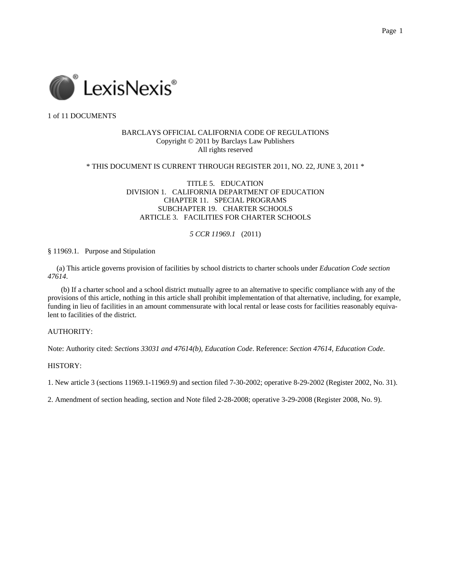

## BARCLAYS OFFICIAL CALIFORNIA CODE OF REGULATIONS Copyright © 2011 by Barclays Law Publishers All rights reserved

\* THIS DOCUMENT IS CURRENT THROUGH REGISTER 2011, NO. 22, JUNE 3, 2011 \*

TITLE 5. EDUCATION DIVISION 1. CALIFORNIA DEPARTMENT OF EDUCATION CHAPTER 11. SPECIAL PROGRAMS SUBCHAPTER 19. CHARTER SCHOOLS ARTICLE 3. FACILITIES FOR CHARTER SCHOOLS

## *5 CCR 11969.1* (2011)

§ 11969.1. Purpose and Stipulation

 (a) This article governs provision of facilities by school districts to charter schools under *Education Code section 47614*.

(b) If a charter school and a school district mutually agree to an alternative to specific compliance with any of the provisions of this article, nothing in this article shall prohibit implementation of that alternative, including, for example, funding in lieu of facilities in an amount commensurate with local rental or lease costs for facilities reasonably equivalent to facilities of the district.

## AUTHORITY:

Note: Authority cited: *Sections 33031 and 47614(b), Education Code*. Reference: *Section 47614, Education Code*.

HISTORY:

1. New article 3 (sections 11969.1-11969.9) and section filed 7-30-2002; operative 8-29-2002 (Register 2002, No. 31).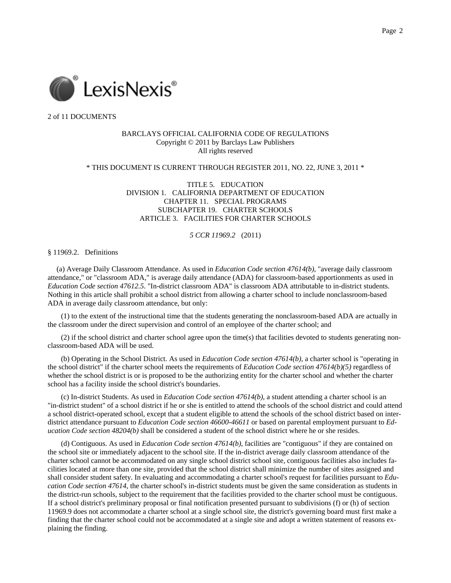

## BARCLAYS OFFICIAL CALIFORNIA CODE OF REGULATIONS Copyright © 2011 by Barclays Law Publishers All rights reserved

### \* THIS DOCUMENT IS CURRENT THROUGH REGISTER 2011, NO. 22, JUNE 3, 2011 \*

TITLE 5. EDUCATION DIVISION 1. CALIFORNIA DEPARTMENT OF EDUCATION CHAPTER 11. SPECIAL PROGRAMS SUBCHAPTER 19. CHARTER SCHOOLS ARTICLE 3. FACILITIES FOR CHARTER SCHOOLS

#### *5 CCR 11969.2* (2011)

#### § 11969.2. Definitions

 (a) Average Daily Classroom Attendance. As used in *Education Code section 47614(b)*, "average daily classroom attendance," or "classroom ADA," is average daily attendance (ADA) for classroom-based apportionments as used in *Education Code section 47612.5*. "In-district classroom ADA" is classroom ADA attributable to in-district students. Nothing in this article shall prohibit a school district from allowing a charter school to include nonclassroom-based ADA in average daily classroom attendance, but only:

(1) to the extent of the instructional time that the students generating the nonclassroom-based ADA are actually in the classroom under the direct supervision and control of an employee of the charter school; and

(2) if the school district and charter school agree upon the time(s) that facilities devoted to students generating nonclassroom-based ADA will be used.

(b) Operating in the School District. As used in *Education Code section 47614(b)*, a charter school is "operating in the school district" if the charter school meets the requirements of *Education Code section 47614(b)(5)* regardless of whether the school district is or is proposed to be the authorizing entity for the charter school and whether the charter school has a facility inside the school district's boundaries.

(c) In-district Students. As used in *Education Code section 47614(b)*, a student attending a charter school is an "in-district student" of a school district if he or she is entitled to attend the schools of the school district and could attend a school district-operated school, except that a student eligible to attend the schools of the school district based on interdistrict attendance pursuant to *Education Code section 46600*-*46611* or based on parental employment pursuant to *Education Code section 48204(b)* shall be considered a student of the school district where he or she resides.

(d) Contiguous. As used in *Education Code section 47614(b)*, facilities are "contiguous" if they are contained on the school site or immediately adjacent to the school site. If the in-district average daily classroom attendance of the charter school cannot be accommodated on any single school district school site, contiguous facilities also includes facilities located at more than one site, provided that the school district shall minimize the number of sites assigned and shall consider student safety. In evaluating and accommodating a charter school's request for facilities pursuant to *Education Code section 47614*, the charter school's in-district students must be given the same consideration as students in the district-run schools, subject to the requirement that the facilities provided to the charter school must be contiguous. If a school district's preliminary proposal or final notification presented pursuant to subdivisions (f) or (h) of section 11969.9 does not accommodate a charter school at a single school site, the district's governing board must first make a finding that the charter school could not be accommodated at a single site and adopt a written statement of reasons explaining the finding.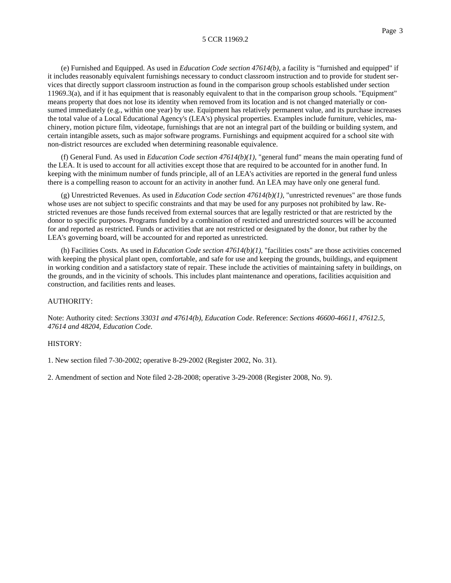(e) Furnished and Equipped. As used in *Education Code section 47614(b)*, a facility is "furnished and equipped" if it includes reasonably equivalent furnishings necessary to conduct classroom instruction and to provide for student services that directly support classroom instruction as found in the comparison group schools established under section 11969.3(a), and if it has equipment that is reasonably equivalent to that in the comparison group schools. "Equipment" means property that does not lose its identity when removed from its location and is not changed materially or consumed immediately (e.g., within one year) by use. Equipment has relatively permanent value, and its purchase increases the total value of a Local Educational Agency's (LEA's) physical properties. Examples include furniture, vehicles, machinery, motion picture film, videotape, furnishings that are not an integral part of the building or building system, and certain intangible assets, such as major software programs. Furnishings and equipment acquired for a school site with non-district resources are excluded when determining reasonable equivalence.

(f) General Fund. As used in *Education Code section 47614(b)(1)*, "general fund" means the main operating fund of the LEA. It is used to account for all activities except those that are required to be accounted for in another fund. In keeping with the minimum number of funds principle, all of an LEA's activities are reported in the general fund unless there is a compelling reason to account for an activity in another fund. An LEA may have only one general fund.

(g) Unrestricted Revenues. As used in *Education Code section 47614(b)(1)*, "unrestricted revenues" are those funds whose uses are not subject to specific constraints and that may be used for any purposes not prohibited by law. Restricted revenues are those funds received from external sources that are legally restricted or that are restricted by the donor to specific purposes. Programs funded by a combination of restricted and unrestricted sources will be accounted for and reported as restricted. Funds or activities that are not restricted or designated by the donor, but rather by the LEA's governing board, will be accounted for and reported as unrestricted.

(h) Facilities Costs. As used in *Education Code section 47614(b)(1)*, "facilities costs" are those activities concerned with keeping the physical plant open, comfortable, and safe for use and keeping the grounds, buildings, and equipment in working condition and a satisfactory state of repair. These include the activities of maintaining safety in buildings, on the grounds, and in the vicinity of schools. This includes plant maintenance and operations, facilities acquisition and construction, and facilities rents and leases.

#### AUTHORITY:

Note: Authority cited: *Sections 33031 and 47614(b), Education Code*. Reference: *Sections 46600-46611, 47612.5, 47614 and 48204, Education Code*.

#### HISTORY:

1. New section filed 7-30-2002; operative 8-29-2002 (Register 2002, No. 31).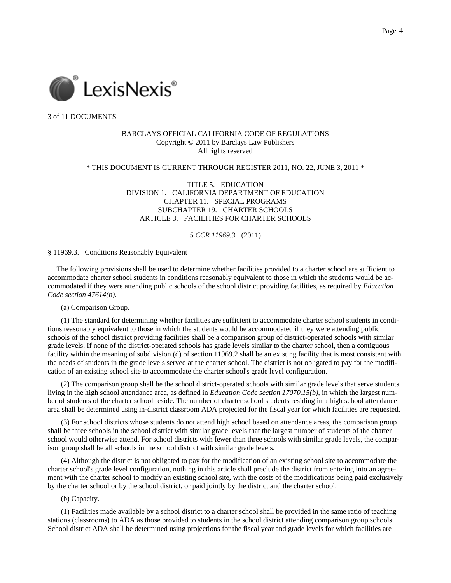

## BARCLAYS OFFICIAL CALIFORNIA CODE OF REGULATIONS Copyright © 2011 by Barclays Law Publishers All rights reserved

## \* THIS DOCUMENT IS CURRENT THROUGH REGISTER 2011, NO. 22, JUNE 3, 2011 \*

TITLE 5. EDUCATION DIVISION 1. CALIFORNIA DEPARTMENT OF EDUCATION CHAPTER 11. SPECIAL PROGRAMS SUBCHAPTER 19. CHARTER SCHOOLS ARTICLE 3. FACILITIES FOR CHARTER SCHOOLS

#### *5 CCR 11969.3* (2011)

§ 11969.3. Conditions Reasonably Equivalent

 The following provisions shall be used to determine whether facilities provided to a charter school are sufficient to accommodate charter school students in conditions reasonably equivalent to those in which the students would be accommodated if they were attending public schools of the school district providing facilities, as required by *Education Code section 47614(b)*.

(a) Comparison Group.

(1) The standard for determining whether facilities are sufficient to accommodate charter school students in conditions reasonably equivalent to those in which the students would be accommodated if they were attending public schools of the school district providing facilities shall be a comparison group of district-operated schools with similar grade levels. If none of the district-operated schools has grade levels similar to the charter school, then a contiguous facility within the meaning of subdivision (d) of section 11969.2 shall be an existing facility that is most consistent with the needs of students in the grade levels served at the charter school. The district is not obligated to pay for the modification of an existing school site to accommodate the charter school's grade level configuration.

(2) The comparison group shall be the school district-operated schools with similar grade levels that serve students living in the high school attendance area, as defined in *Education Code section 17070.15(b)*, in which the largest number of students of the charter school reside. The number of charter school students residing in a high school attendance area shall be determined using in-district classroom ADA projected for the fiscal year for which facilities are requested.

(3) For school districts whose students do not attend high school based on attendance areas, the comparison group shall be three schools in the school district with similar grade levels that the largest number of students of the charter school would otherwise attend. For school districts with fewer than three schools with similar grade levels, the comparison group shall be all schools in the school district with similar grade levels.

(4) Although the district is not obligated to pay for the modification of an existing school site to accommodate the charter school's grade level configuration, nothing in this article shall preclude the district from entering into an agreement with the charter school to modify an existing school site, with the costs of the modifications being paid exclusively by the charter school or by the school district, or paid jointly by the district and the charter school.

(b) Capacity.

(1) Facilities made available by a school district to a charter school shall be provided in the same ratio of teaching stations (classrooms) to ADA as those provided to students in the school district attending comparison group schools. School district ADA shall be determined using projections for the fiscal year and grade levels for which facilities are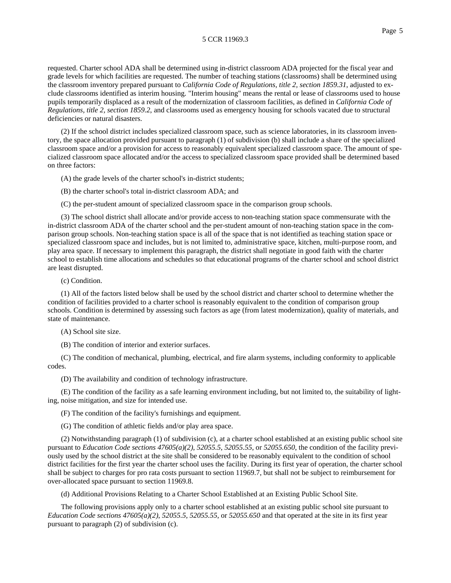requested. Charter school ADA shall be determined using in-district classroom ADA projected for the fiscal year and grade levels for which facilities are requested. The number of teaching stations (classrooms) shall be determined using the classroom inventory prepared pursuant to *California Code of Regulations, title 2, section 1859.31*, adjusted to exclude classrooms identified as interim housing. "Interim housing" means the rental or lease of classrooms used to house pupils temporarily displaced as a result of the modernization of classroom facilities, as defined in *California Code of Regulations, title 2, section 1859.2*, and classrooms used as emergency housing for schools vacated due to structural deficiencies or natural disasters.

(2) If the school district includes specialized classroom space, such as science laboratories, in its classroom inventory, the space allocation provided pursuant to paragraph (1) of subdivision (b) shall include a share of the specialized classroom space and/or a provision for access to reasonably equivalent specialized classroom space. The amount of specialized classroom space allocated and/or the access to specialized classroom space provided shall be determined based on three factors:

(A) the grade levels of the charter school's in-district students;

(B) the charter school's total in-district classroom ADA; and

(C) the per-student amount of specialized classroom space in the comparison group schools.

(3) The school district shall allocate and/or provide access to non-teaching station space commensurate with the in-district classroom ADA of the charter school and the per-student amount of non-teaching station space in the comparison group schools. Non-teaching station space is all of the space that is not identified as teaching station space or specialized classroom space and includes, but is not limited to, administrative space, kitchen, multi-purpose room, and play area space. If necessary to implement this paragraph, the district shall negotiate in good faith with the charter school to establish time allocations and schedules so that educational programs of the charter school and school district are least disrupted.

(c) Condition.

(1) All of the factors listed below shall be used by the school district and charter school to determine whether the condition of facilities provided to a charter school is reasonably equivalent to the condition of comparison group schools. Condition is determined by assessing such factors as age (from latest modernization), quality of materials, and state of maintenance.

(A) School site size.

(B) The condition of interior and exterior surfaces.

(C) The condition of mechanical, plumbing, electrical, and fire alarm systems, including conformity to applicable codes.

(D) The availability and condition of technology infrastructure.

(E) The condition of the facility as a safe learning environment including, but not limited to, the suitability of lighting, noise mitigation, and size for intended use.

(F) The condition of the facility's furnishings and equipment.

(G) The condition of athletic fields and/or play area space.

(2) Notwithstanding paragraph (1) of subdivision (c), at a charter school established at an existing public school site pursuant to *Education Code sections 47605(a)(2)*, *52055.5*, *52055.55*, or *52055.650*, the condition of the facility previously used by the school district at the site shall be considered to be reasonably equivalent to the condition of school district facilities for the first year the charter school uses the facility. During its first year of operation, the charter school shall be subject to charges for pro rata costs pursuant to section 11969.7, but shall not be subject to reimbursement for over-allocated space pursuant to section 11969.8.

(d) Additional Provisions Relating to a Charter School Established at an Existing Public School Site.

The following provisions apply only to a charter school established at an existing public school site pursuant to *Education Code sections 47605(a)(2)*, *52055.5*, *52055.55*, or *52055.650* and that operated at the site in its first year pursuant to paragraph (2) of subdivision (c).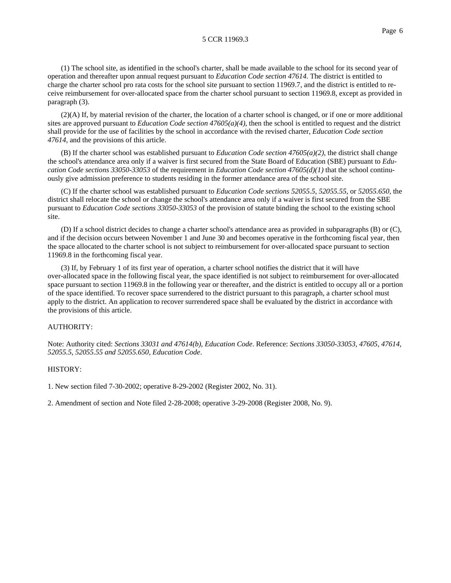(1) The school site, as identified in the school's charter, shall be made available to the school for its second year of operation and thereafter upon annual request pursuant to *Education Code section 47614*. The district is entitled to charge the charter school pro rata costs for the school site pursuant to section 11969.7, and the district is entitled to receive reimbursement for over-allocated space from the charter school pursuant to section 11969.8, except as provided in paragraph (3).

 $(2)$ (A) If, by material revision of the charter, the location of a charter school is changed, or if one or more additional sites are approved pursuant to *Education Code section 47605(a)(4)*, then the school is entitled to request and the district shall provide for the use of facilities by the school in accordance with the revised charter, *Education Code section 47614*, and the provisions of this article.

(B) If the charter school was established pursuant to *Education Code section 47605(a)(2)*, the district shall change the school's attendance area only if a waiver is first secured from the State Board of Education (SBE) pursuant to *Education Code sections 33050*-*33053* of the requirement in *Education Code section 47605(d)(1)* that the school continuously give admission preference to students residing in the former attendance area of the school site.

(C) If the charter school was established pursuant to *Education Code sections 52055.5*, *52055.55*, or *52055.650*, the district shall relocate the school or change the school's attendance area only if a waiver is first secured from the SBE pursuant to *Education Code sections 33050*-*33053* of the provision of statute binding the school to the existing school site.

(D) If a school district decides to change a charter school's attendance area as provided in subparagraphs (B) or (C), and if the decision occurs between November 1 and June 30 and becomes operative in the forthcoming fiscal year, then the space allocated to the charter school is not subject to reimbursement for over-allocated space pursuant to section 11969.8 in the forthcoming fiscal year.

(3) If, by February 1 of its first year of operation, a charter school notifies the district that it will have over-allocated space in the following fiscal year, the space identified is not subject to reimbursement for over-allocated space pursuant to section 11969.8 in the following year or thereafter, and the district is entitled to occupy all or a portion of the space identified. To recover space surrendered to the district pursuant to this paragraph, a charter school must apply to the district. An application to recover surrendered space shall be evaluated by the district in accordance with the provisions of this article.

## AUTHORITY:

Note: Authority cited: *Sections 33031 and 47614(b), Education Code*. Reference: *Sections 33050-33053, 47605, 47614, 52055.5, 52055.55 and 52055.650, Education Code*.

### HISTORY:

1. New section filed 7-30-2002; operative 8-29-2002 (Register 2002, No. 31).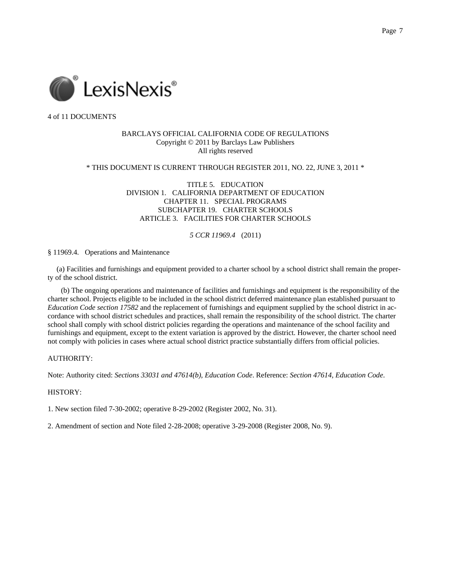

## BARCLAYS OFFICIAL CALIFORNIA CODE OF REGULATIONS Copyright © 2011 by Barclays Law Publishers All rights reserved

### \* THIS DOCUMENT IS CURRENT THROUGH REGISTER 2011, NO. 22, JUNE 3, 2011 \*

TITLE 5. EDUCATION DIVISION 1. CALIFORNIA DEPARTMENT OF EDUCATION CHAPTER 11. SPECIAL PROGRAMS SUBCHAPTER 19. CHARTER SCHOOLS ARTICLE 3. FACILITIES FOR CHARTER SCHOOLS

## *5 CCR 11969.4* (2011)

§ 11969.4. Operations and Maintenance

 (a) Facilities and furnishings and equipment provided to a charter school by a school district shall remain the property of the school district.

(b) The ongoing operations and maintenance of facilities and furnishings and equipment is the responsibility of the charter school. Projects eligible to be included in the school district deferred maintenance plan established pursuant to *Education Code section 17582* and the replacement of furnishings and equipment supplied by the school district in accordance with school district schedules and practices, shall remain the responsibility of the school district. The charter school shall comply with school district policies regarding the operations and maintenance of the school facility and furnishings and equipment, except to the extent variation is approved by the district. However, the charter school need not comply with policies in cases where actual school district practice substantially differs from official policies.

## AUTHORITY:

Note: Authority cited: *Sections 33031 and 47614(b), Education Code*. Reference: *Section 47614, Education Code*.

### HISTORY:

1. New section filed 7-30-2002; operative 8-29-2002 (Register 2002, No. 31).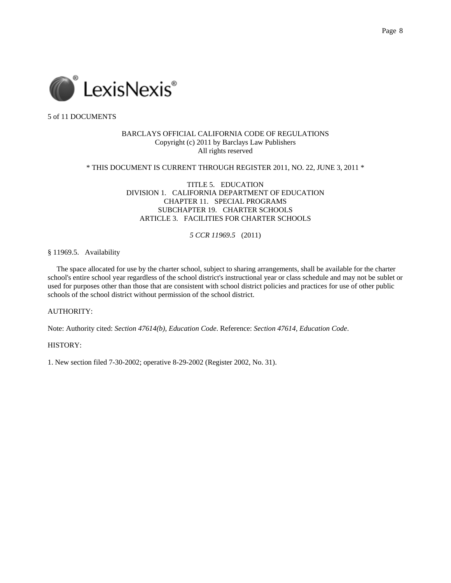

## BARCLAYS OFFICIAL CALIFORNIA CODE OF REGULATIONS Copyright (c) 2011 by Barclays Law Publishers All rights reserved

### \* THIS DOCUMENT IS CURRENT THROUGH REGISTER 2011, NO. 22, JUNE 3, 2011 \*

TITLE 5. EDUCATION DIVISION 1. CALIFORNIA DEPARTMENT OF EDUCATION CHAPTER 11. SPECIAL PROGRAMS SUBCHAPTER 19. CHARTER SCHOOLS ARTICLE 3. FACILITIES FOR CHARTER SCHOOLS

## *5 CCR 11969.5* (2011)

#### § 11969.5. Availability

 The space allocated for use by the charter school, subject to sharing arrangements, shall be available for the charter school's entire school year regardless of the school district's instructional year or class schedule and may not be sublet or used for purposes other than those that are consistent with school district policies and practices for use of other public schools of the school district without permission of the school district.

## AUTHORITY:

Note: Authority cited: *Section 47614(b), Education Code*. Reference: *Section 47614, Education Code*.

## HISTORY:

1. New section filed 7-30-2002; operative 8-29-2002 (Register 2002, No. 31).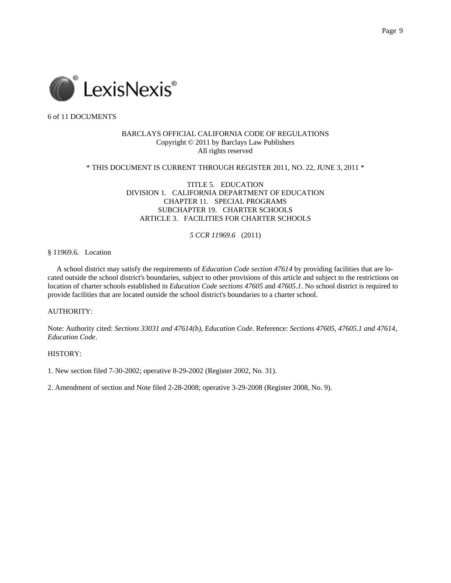

### BARCLAYS OFFICIAL CALIFORNIA CODE OF REGULATIONS Copyright © 2011 by Barclays Law Publishers All rights reserved

### \* THIS DOCUMENT IS CURRENT THROUGH REGISTER 2011, NO. 22, JUNE 3, 2011 \*

TITLE 5. EDUCATION DIVISION 1. CALIFORNIA DEPARTMENT OF EDUCATION CHAPTER 11. SPECIAL PROGRAMS SUBCHAPTER 19. CHARTER SCHOOLS ARTICLE 3. FACILITIES FOR CHARTER SCHOOLS

## *5 CCR 11969.6* (2011)

#### § 11969.6. Location

 A school district may satisfy the requirements of *Education Code section 47614* by providing facilities that are located outside the school district's boundaries, subject to other provisions of this article and subject to the restrictions on location of charter schools established in *Education Code sections 47605* and *47605.1*. No school district is required to provide facilities that are located outside the school district's boundaries to a charter school.

## AUTHORITY:

Note: Authority cited: *Sections 33031 and 47614(b), Education Code*. Reference: *Sections 47605, 47605.1 and 47614, Education Code*.

### HISTORY:

1. New section filed 7-30-2002; operative 8-29-2002 (Register 2002, No. 31).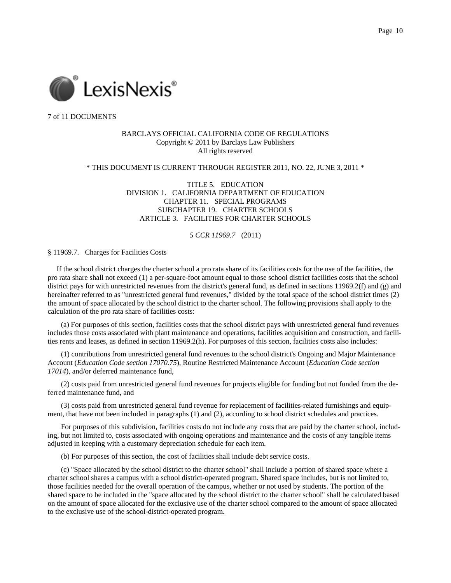

### BARCLAYS OFFICIAL CALIFORNIA CODE OF REGULATIONS Copyright © 2011 by Barclays Law Publishers All rights reserved

### \* THIS DOCUMENT IS CURRENT THROUGH REGISTER 2011, NO. 22, JUNE 3, 2011 \*

TITLE 5. EDUCATION DIVISION 1. CALIFORNIA DEPARTMENT OF EDUCATION CHAPTER 11. SPECIAL PROGRAMS SUBCHAPTER 19. CHARTER SCHOOLS ARTICLE 3. FACILITIES FOR CHARTER SCHOOLS

#### *5 CCR 11969.7* (2011)

#### § 11969.7. Charges for Facilities Costs

 If the school district charges the charter school a pro rata share of its facilities costs for the use of the facilities, the pro rata share shall not exceed (1) a per-square-foot amount equal to those school district facilities costs that the school district pays for with unrestricted revenues from the district's general fund, as defined in sections 11969.2(f) and (g) and hereinafter referred to as "unrestricted general fund revenues," divided by the total space of the school district times (2) the amount of space allocated by the school district to the charter school. The following provisions shall apply to the calculation of the pro rata share of facilities costs:

(a) For purposes of this section, facilities costs that the school district pays with unrestricted general fund revenues includes those costs associated with plant maintenance and operations, facilities acquisition and construction, and facilities rents and leases, as defined in section 11969.2(h). For purposes of this section, facilities costs also includes:

(1) contributions from unrestricted general fund revenues to the school district's Ongoing and Major Maintenance Account (*Education Code section 17070.75*), Routine Restricted Maintenance Account (*Education Code section 17014*), and/or deferred maintenance fund,

(2) costs paid from unrestricted general fund revenues for projects eligible for funding but not funded from the deferred maintenance fund, and

(3) costs paid from unrestricted general fund revenue for replacement of facilities-related furnishings and equipment, that have not been included in paragraphs (1) and (2), according to school district schedules and practices.

For purposes of this subdivision, facilities costs do not include any costs that are paid by the charter school, including, but not limited to, costs associated with ongoing operations and maintenance and the costs of any tangible items adjusted in keeping with a customary depreciation schedule for each item.

(b) For purposes of this section, the cost of facilities shall include debt service costs.

(c) "Space allocated by the school district to the charter school" shall include a portion of shared space where a charter school shares a campus with a school district-operated program. Shared space includes, but is not limited to, those facilities needed for the overall operation of the campus, whether or not used by students. The portion of the shared space to be included in the "space allocated by the school district to the charter school" shall be calculated based on the amount of space allocated for the exclusive use of the charter school compared to the amount of space allocated to the exclusive use of the school-district-operated program.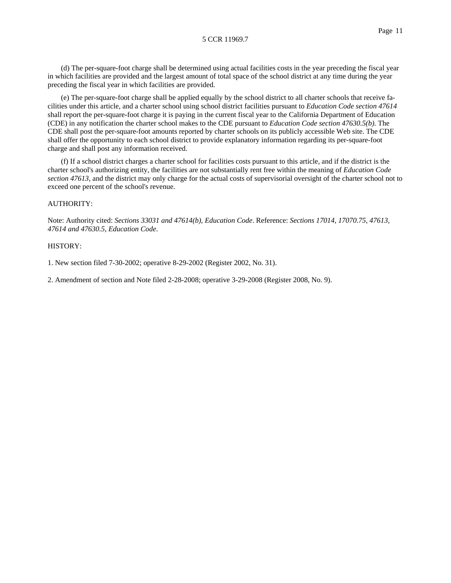(d) The per-square-foot charge shall be determined using actual facilities costs in the year preceding the fiscal year in which facilities are provided and the largest amount of total space of the school district at any time during the year preceding the fiscal year in which facilities are provided.

(e) The per-square-foot charge shall be applied equally by the school district to all charter schools that receive facilities under this article, and a charter school using school district facilities pursuant to *Education Code section 47614* shall report the per-square-foot charge it is paying in the current fiscal year to the California Department of Education (CDE) in any notification the charter school makes to the CDE pursuant to *Education Code section 47630.5(b)*. The CDE shall post the per-square-foot amounts reported by charter schools on its publicly accessible Web site. The CDE shall offer the opportunity to each school district to provide explanatory information regarding its per-square-foot charge and shall post any information received.

(f) If a school district charges a charter school for facilities costs pursuant to this article, and if the district is the charter school's authorizing entity, the facilities are not substantially rent free within the meaning of *Education Code section 47613*, and the district may only charge for the actual costs of supervisorial oversight of the charter school not to exceed one percent of the school's revenue.

#### AUTHORITY:

Note: Authority cited: *Sections 33031 and 47614(b), Education Code*. Reference: *Sections 17014, 17070.75, 47613, 47614 and 47630.5, Education Code*.

#### HISTORY:

1. New section filed 7-30-2002; operative 8-29-2002 (Register 2002, No. 31).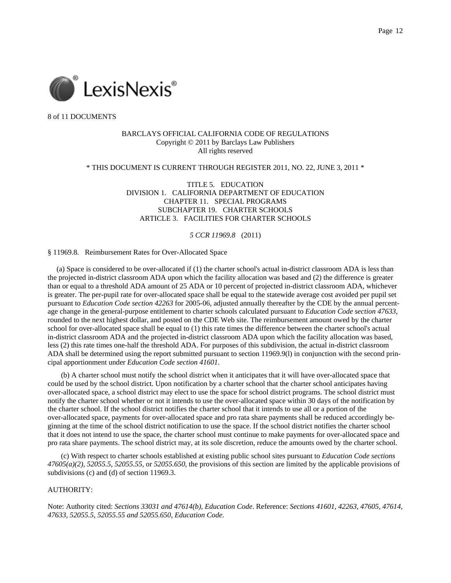

## BARCLAYS OFFICIAL CALIFORNIA CODE OF REGULATIONS Copyright © 2011 by Barclays Law Publishers All rights reserved

### \* THIS DOCUMENT IS CURRENT THROUGH REGISTER 2011, NO. 22, JUNE 3, 2011 \*

TITLE 5. EDUCATION DIVISION 1. CALIFORNIA DEPARTMENT OF EDUCATION CHAPTER 11. SPECIAL PROGRAMS SUBCHAPTER 19. CHARTER SCHOOLS ARTICLE 3. FACILITIES FOR CHARTER SCHOOLS

#### *5 CCR 11969.8* (2011)

#### § 11969.8. Reimbursement Rates for Over-Allocated Space

 (a) Space is considered to be over-allocated if (1) the charter school's actual in-district classroom ADA is less than the projected in-district classroom ADA upon which the facility allocation was based and (2) the difference is greater than or equal to a threshold ADA amount of 25 ADA or 10 percent of projected in-district classroom ADA, whichever is greater. The per-pupil rate for over-allocated space shall be equal to the statewide average cost avoided per pupil set pursuant to *Education Code section 42263* for 2005-06, adjusted annually thereafter by the CDE by the annual percentage change in the general-purpose entitlement to charter schools calculated pursuant to *Education Code section 47633*, rounded to the next highest dollar, and posted on the CDE Web site. The reimbursement amount owed by the charter school for over-allocated space shall be equal to (1) this rate times the difference between the charter school's actual in-district classroom ADA and the projected in-district classroom ADA upon which the facility allocation was based, less (2) this rate times one-half the threshold ADA. For purposes of this subdivision, the actual in-district classroom ADA shall be determined using the report submitted pursuant to section 11969.9(l) in conjunction with the second principal apportionment under *Education Code section 41601*.

(b) A charter school must notify the school district when it anticipates that it will have over-allocated space that could be used by the school district. Upon notification by a charter school that the charter school anticipates having over-allocated space, a school district may elect to use the space for school district programs. The school district must notify the charter school whether or not it intends to use the over-allocated space within 30 days of the notification by the charter school. If the school district notifies the charter school that it intends to use all or a portion of the over-allocated space, payments for over-allocated space and pro rata share payments shall be reduced accordingly beginning at the time of the school district notification to use the space. If the school district notifies the charter school that it does not intend to use the space, the charter school must continue to make payments for over-allocated space and pro rata share payments. The school district may, at its sole discretion, reduce the amounts owed by the charter school.

(c) With respect to charter schools established at existing public school sites pursuant to *Education Code sections 47605(a)(2)*, *52055.5*, *52055.55*, or *52055.650*, the provisions of this section are limited by the applicable provisions of subdivisions (c) and (d) of section 11969.3.

### AUTHORITY:

Note: Authority cited: *Sections 33031 and 47614(b), Education Code*. Reference: *Sections 41601, 42263, 47605, 47614, 47633, 52055.5, 52055.55 and 52055.650, Education Code*.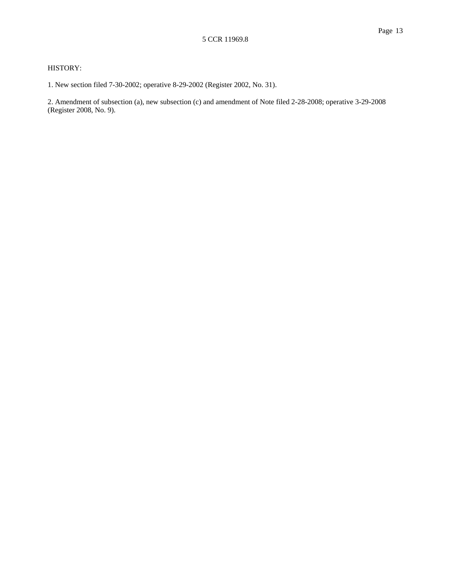## HISTORY:

1. New section filed 7-30-2002; operative 8-29-2002 (Register 2002, No. 31).

2. Amendment of subsection (a), new subsection (c) and amendment of Note filed 2-28-2008; operative 3-29-2008 (Register 2008, No. 9).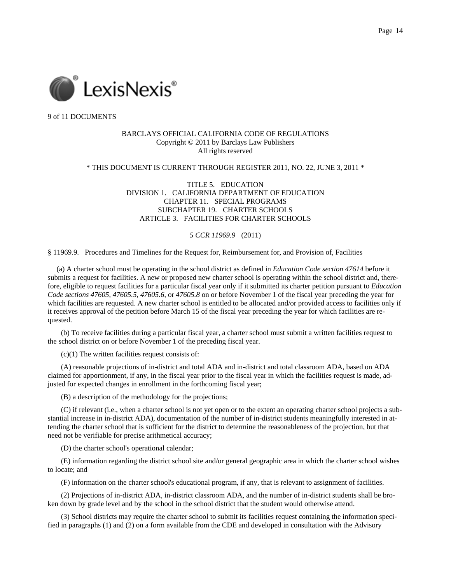

## BARCLAYS OFFICIAL CALIFORNIA CODE OF REGULATIONS Copyright © 2011 by Barclays Law Publishers All rights reserved

### \* THIS DOCUMENT IS CURRENT THROUGH REGISTER 2011, NO. 22, JUNE 3, 2011 \*

TITLE 5. EDUCATION DIVISION 1. CALIFORNIA DEPARTMENT OF EDUCATION CHAPTER 11. SPECIAL PROGRAMS SUBCHAPTER 19. CHARTER SCHOOLS ARTICLE 3. FACILITIES FOR CHARTER SCHOOLS

## *5 CCR 11969.9* (2011)

§ 11969.9. Procedures and Timelines for the Request for, Reimbursement for, and Provision of, Facilities

 (a) A charter school must be operating in the school district as defined in *Education Code section 47614* before it submits a request for facilities. A new or proposed new charter school is operating within the school district and, therefore, eligible to request facilities for a particular fiscal year only if it submitted its charter petition pursuant to *Education Code sections 47605*, *47605.5*, *47605.6*, or *47605.8* on or before November 1 of the fiscal year preceding the year for which facilities are requested. A new charter school is entitled to be allocated and/or provided access to facilities only if it receives approval of the petition before March 15 of the fiscal year preceding the year for which facilities are requested.

(b) To receive facilities during a particular fiscal year, a charter school must submit a written facilities request to the school district on or before November 1 of the preceding fiscal year.

 $(c)(1)$  The written facilities request consists of:

(A) reasonable projections of in-district and total ADA and in-district and total classroom ADA, based on ADA claimed for apportionment, if any, in the fiscal year prior to the fiscal year in which the facilities request is made, adjusted for expected changes in enrollment in the forthcoming fiscal year;

(B) a description of the methodology for the projections;

(C) if relevant (i.e., when a charter school is not yet open or to the extent an operating charter school projects a substantial increase in in-district ADA), documentation of the number of in-district students meaningfully interested in attending the charter school that is sufficient for the district to determine the reasonableness of the projection, but that need not be verifiable for precise arithmetical accuracy;

(D) the charter school's operational calendar;

(E) information regarding the district school site and/or general geographic area in which the charter school wishes to locate; and

(F) information on the charter school's educational program, if any, that is relevant to assignment of facilities.

(2) Projections of in-district ADA, in-district classroom ADA, and the number of in-district students shall be broken down by grade level and by the school in the school district that the student would otherwise attend.

(3) School districts may require the charter school to submit its facilities request containing the information specified in paragraphs (1) and (2) on a form available from the CDE and developed in consultation with the Advisory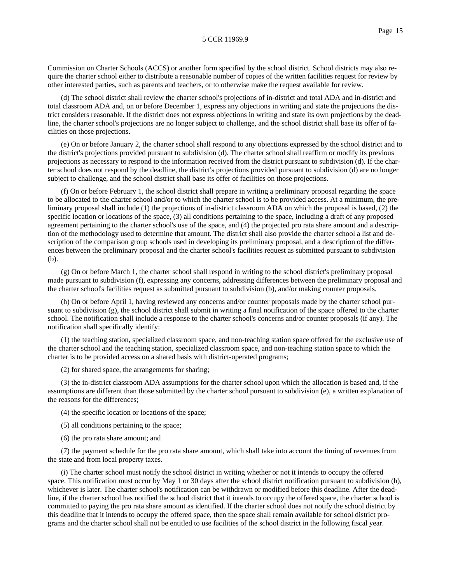Commission on Charter Schools (ACCS) or another form specified by the school district. School districts may also require the charter school either to distribute a reasonable number of copies of the written facilities request for review by other interested parties, such as parents and teachers, or to otherwise make the request available for review.

(d) The school district shall review the charter school's projections of in-district and total ADA and in-district and total classroom ADA and, on or before December 1, express any objections in writing and state the projections the district considers reasonable. If the district does not express objections in writing and state its own projections by the deadline, the charter school's projections are no longer subject to challenge, and the school district shall base its offer of facilities on those projections.

(e) On or before January 2, the charter school shall respond to any objections expressed by the school district and to the district's projections provided pursuant to subdivision (d). The charter school shall reaffirm or modify its previous projections as necessary to respond to the information received from the district pursuant to subdivision (d). If the charter school does not respond by the deadline, the district's projections provided pursuant to subdivision (d) are no longer subject to challenge, and the school district shall base its offer of facilities on those projections.

(f) On or before February 1, the school district shall prepare in writing a preliminary proposal regarding the space to be allocated to the charter school and/or to which the charter school is to be provided access. At a minimum, the preliminary proposal shall include (1) the projections of in-district classroom ADA on which the proposal is based, (2) the specific location or locations of the space, (3) all conditions pertaining to the space, including a draft of any proposed agreement pertaining to the charter school's use of the space, and (4) the projected pro rata share amount and a description of the methodology used to determine that amount. The district shall also provide the charter school a list and description of the comparison group schools used in developing its preliminary proposal, and a description of the differences between the preliminary proposal and the charter school's facilities request as submitted pursuant to subdivision (b).

(g) On or before March 1, the charter school shall respond in writing to the school district's preliminary proposal made pursuant to subdivision (f), expressing any concerns, addressing differences between the preliminary proposal and the charter school's facilities request as submitted pursuant to subdivision (b), and/or making counter proposals.

(h) On or before April 1, having reviewed any concerns and/or counter proposals made by the charter school pursuant to subdivision (g), the school district shall submit in writing a final notification of the space offered to the charter school. The notification shall include a response to the charter school's concerns and/or counter proposals (if any). The notification shall specifically identify:

(1) the teaching station, specialized classroom space, and non-teaching station space offered for the exclusive use of the charter school and the teaching station, specialized classroom space, and non-teaching station space to which the charter is to be provided access on a shared basis with district-operated programs;

(2) for shared space, the arrangements for sharing;

(3) the in-district classroom ADA assumptions for the charter school upon which the allocation is based and, if the assumptions are different than those submitted by the charter school pursuant to subdivision (e), a written explanation of the reasons for the differences;

(4) the specific location or locations of the space;

(5) all conditions pertaining to the space;

(6) the pro rata share amount; and

(7) the payment schedule for the pro rata share amount, which shall take into account the timing of revenues from the state and from local property taxes.

(i) The charter school must notify the school district in writing whether or not it intends to occupy the offered space. This notification must occur by May 1 or 30 days after the school district notification pursuant to subdivision (h), whichever is later. The charter school's notification can be withdrawn or modified before this deadline. After the deadline, if the charter school has notified the school district that it intends to occupy the offered space, the charter school is committed to paying the pro rata share amount as identified. If the charter school does not notify the school district by this deadline that it intends to occupy the offered space, then the space shall remain available for school district programs and the charter school shall not be entitled to use facilities of the school district in the following fiscal year.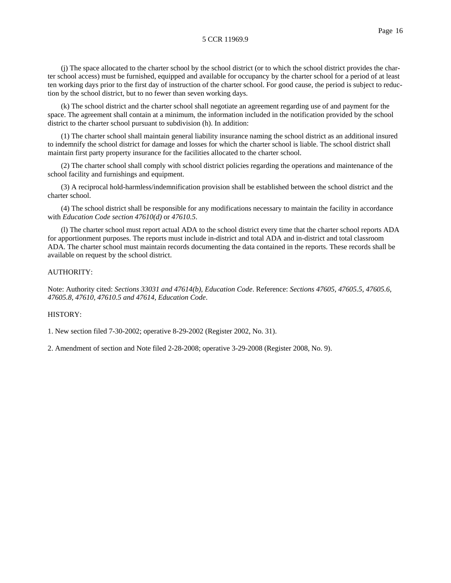(j) The space allocated to the charter school by the school district (or to which the school district provides the charter school access) must be furnished, equipped and available for occupancy by the charter school for a period of at least ten working days prior to the first day of instruction of the charter school. For good cause, the period is subject to reduction by the school district, but to no fewer than seven working days.

(k) The school district and the charter school shall negotiate an agreement regarding use of and payment for the space. The agreement shall contain at a minimum, the information included in the notification provided by the school district to the charter school pursuant to subdivision (h). In addition:

(1) The charter school shall maintain general liability insurance naming the school district as an additional insured to indemnify the school district for damage and losses for which the charter school is liable. The school district shall maintain first party property insurance for the facilities allocated to the charter school.

(2) The charter school shall comply with school district policies regarding the operations and maintenance of the school facility and furnishings and equipment.

(3) A reciprocal hold-harmless/indemnification provision shall be established between the school district and the charter school.

(4) The school district shall be responsible for any modifications necessary to maintain the facility in accordance with *Education Code section 47610(d)* or *47610.5*.

(l) The charter school must report actual ADA to the school district every time that the charter school reports ADA for apportionment purposes. The reports must include in-district and total ADA and in-district and total classroom ADA. The charter school must maintain records documenting the data contained in the reports. These records shall be available on request by the school district.

## AUTHORITY:

Note: Authority cited: *Sections 33031 and 47614(b), Education Code*. Reference: *Sections 47605, 47605.5, 47605.6, 47605.8, 47610, 47610.5 and 47614, Education Code*.

## HISTORY:

1. New section filed 7-30-2002; operative 8-29-2002 (Register 2002, No. 31).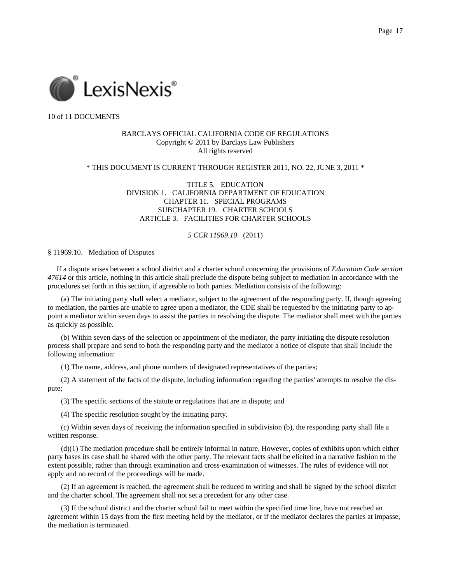

## BARCLAYS OFFICIAL CALIFORNIA CODE OF REGULATIONS Copyright © 2011 by Barclays Law Publishers All rights reserved

### \* THIS DOCUMENT IS CURRENT THROUGH REGISTER 2011, NO. 22, JUNE 3, 2011 \*

TITLE 5. EDUCATION DIVISION 1. CALIFORNIA DEPARTMENT OF EDUCATION CHAPTER 11. SPECIAL PROGRAMS SUBCHAPTER 19. CHARTER SCHOOLS ARTICLE 3. FACILITIES FOR CHARTER SCHOOLS

#### *5 CCR 11969.10* (2011)

#### § 11969.10. Mediation of Disputes

 If a dispute arises between a school district and a charter school concerning the provisions of *Education Code section 47614* or this article, nothing in this article shall preclude the dispute being subject to mediation in accordance with the procedures set forth in this section, if agreeable to both parties. Mediation consists of the following:

(a) The initiating party shall select a mediator, subject to the agreement of the responding party. If, though agreeing to mediation, the parties are unable to agree upon a mediator, the CDE shall be requested by the initiating party to appoint a mediator within seven days to assist the parties in resolving the dispute. The mediator shall meet with the parties as quickly as possible.

(b) Within seven days of the selection or appointment of the mediator, the party initiating the dispute resolution process shall prepare and send to both the responding party and the mediator a notice of dispute that shall include the following information:

(1) The name, address, and phone numbers of designated representatives of the parties;

(2) A statement of the facts of the dispute, including information regarding the parties' attempts to resolve the dispute;

(3) The specific sections of the statute or regulations that are in dispute; and

(4) The specific resolution sought by the initiating party.

(c) Within seven days of receiving the information specified in subdivision (b), the responding party shall file a written response.

(d)(1) The mediation procedure shall be entirely informal in nature. However, copies of exhibits upon which either party bases its case shall be shared with the other party. The relevant facts shall be elicited in a narrative fashion to the extent possible, rather than through examination and cross-examination of witnesses. The rules of evidence will not apply and no record of the proceedings will be made.

(2) If an agreement is reached, the agreement shall be reduced to writing and shall be signed by the school district and the charter school. The agreement shall not set a precedent for any other case.

(3) If the school district and the charter school fail to meet within the specified time line, have not reached an agreement within 15 days from the first meeting held by the mediator, or if the mediator declares the parties at impasse, the mediation is terminated.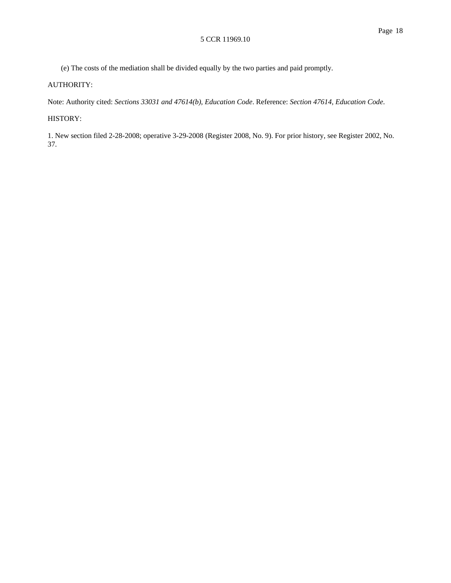(e) The costs of the mediation shall be divided equally by the two parties and paid promptly.

# AUTHORITY:

Note: Authority cited: *Sections 33031 and 47614(b), Education Code*. Reference: *Section 47614, Education Code*.

# HISTORY:

1. New section filed 2-28-2008; operative 3-29-2008 (Register 2008, No. 9). For prior history, see Register 2002, No. 37.